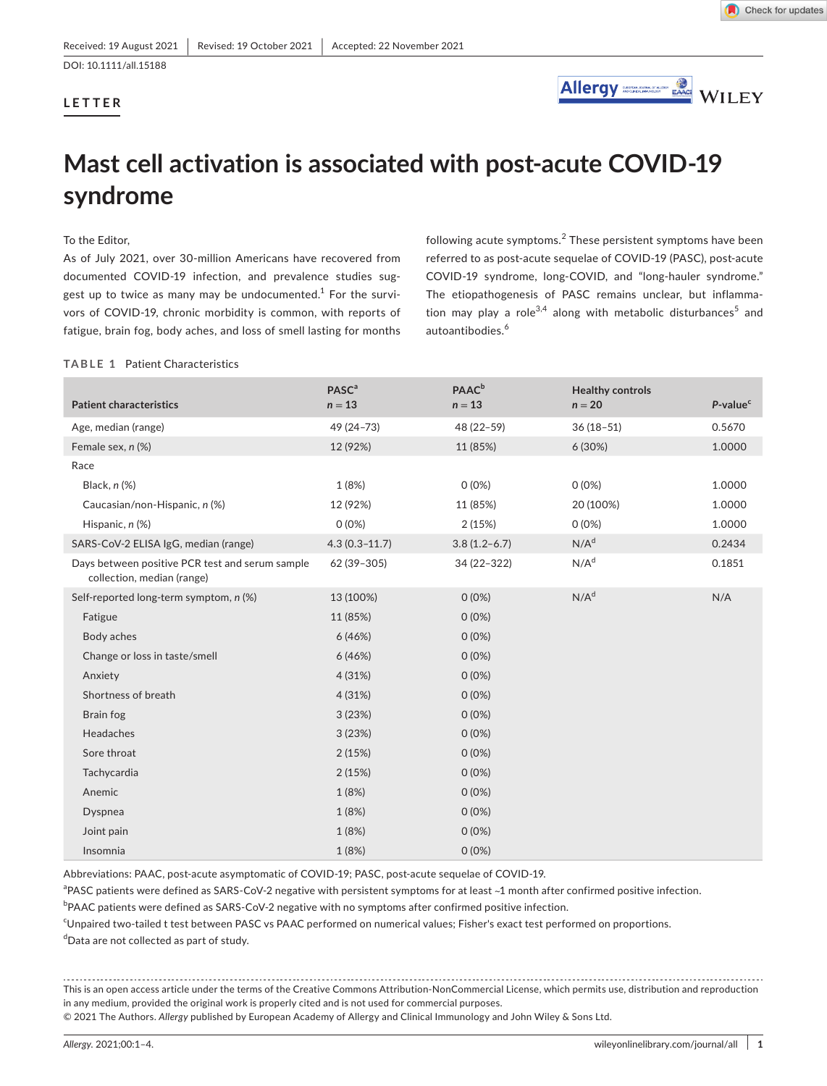DOI: 10.1111/all.15188

## **LETTER**



# **Mast cell activation is associated with post-acute COVID-19 syndrome**

## To the Editor,

As of July 2021, over 30-million Americans have recovered from documented COVID-19 infection, and prevalence studies suggest up to twice as many may be undocumented. $^{\rm 1}$  For the survivors of COVID-19, chronic morbidity is common, with reports of fatigue, brain fog, body aches, and loss of smell lasting for months

following acute symptoms.<sup>2</sup> These persistent symptoms have been referred to as post-acute sequelae of COVID-19 (PASC), post-acute COVID-19 syndrome, long-COVID, and "long-hauler syndrome." The etiopathogenesis of PASC remains unclear, but inflammation may play a role<sup>3,4</sup> along with metabolic disturbances<sup>5</sup> and autoantibodies.<sup>6</sup>

## **TABLE 1** Patient Characteristics

| <b>Patient characteristics</b>                                                | <b>PASC<sup>a</sup></b><br>$n = 13$ | <b>PAAC</b> <sup>b</sup><br>$n = 13$ | <b>Healthy controls</b><br>$n = 20$ | P-value <sup>c</sup> |
|-------------------------------------------------------------------------------|-------------------------------------|--------------------------------------|-------------------------------------|----------------------|
| Age, median (range)                                                           | 49 (24-73)                          | 48 (22-59)                           | $36(18-51)$                         | 0.5670               |
| Female sex, n (%)                                                             | 12 (92%)                            | 11 (85%)                             | 6 (30%)                             | 1.0000               |
| Race                                                                          |                                     |                                      |                                     |                      |
| Black, n (%)                                                                  | 1 (8%)                              | $0(0\%)$                             | $0(0\%)$                            | 1.0000               |
| Caucasian/non-Hispanic, n (%)                                                 | 12 (92%)                            | 11 (85%)                             | 20 (100%)                           | 1.0000               |
| Hispanic, n (%)                                                               | $0(0\%)$                            | 2(15%)                               | $0(0\%)$                            | 1.0000               |
| SARS-CoV-2 ELISA IgG, median (range)                                          | $4.3(0.3 - 11.7)$                   | $3.8(1.2-6.7)$                       | N/A <sup>d</sup>                    | 0.2434               |
| Days between positive PCR test and serum sample<br>collection, median (range) | 62 (39-305)                         | 34 (22-322)                          | N/A <sup>d</sup>                    | 0.1851               |
| Self-reported long-term symptom, n (%)                                        | 13 (100%)                           | $0(0\%)$                             | N/A <sup>d</sup>                    | N/A                  |
| Fatigue                                                                       | 11 (85%)                            | $0(0\%)$                             |                                     |                      |
| Body aches                                                                    | 6(46%)                              | $0(0\%)$                             |                                     |                      |
| Change or loss in taste/smell                                                 | 6(46%)                              | $0(0\%)$                             |                                     |                      |
| Anxiety                                                                       | 4 (31%)                             | $0(0\%)$                             |                                     |                      |
| Shortness of breath                                                           | 4 (31%)                             | $0(0\%)$                             |                                     |                      |
| Brain fog                                                                     | 3(23%)                              | $0(0\%)$                             |                                     |                      |
| Headaches                                                                     | 3(23%)                              | $0(0\%)$                             |                                     |                      |
| Sore throat                                                                   | 2(15%)                              | $0(0\%)$                             |                                     |                      |
| Tachycardia                                                                   | 2(15%)                              | $0(0\%)$                             |                                     |                      |
| Anemic                                                                        | 1(8%)                               | $0(0\%)$                             |                                     |                      |
| Dyspnea                                                                       | 1(8%)                               | $0(0\%)$                             |                                     |                      |
| Joint pain                                                                    | 1(8%)                               | $0(0\%)$                             |                                     |                      |
| Insomnia                                                                      | 1(8%)                               | $0(0\%)$                             |                                     |                      |

Abbreviations: PAAC, post-acute asymptomatic of COVID-19; PASC, post-acute sequelae of COVID-19.

<sup>a</sup>PASC patients were defined as SARS-CoV-2 negative with persistent symptoms for at least ~1 month after confirmed positive infection.

<sup>b</sup>PAAC patients were defined as SARS-CoV-2 negative with no symptoms after confirmed positive infection.

c Unpaired two-tailed t test between PASC vs PAAC performed on numerical values; Fisher's exact test performed on proportions. d Data are not collected as part of study.

This is an open access article under the terms of the [Creative Commons Attribution-NonCommercial](http://creativecommons.org/licenses/by-nc/4.0/) License, which permits use, distribution and reproduction in any medium, provided the original work is properly cited and is not used for commercial purposes.

© 2021 The Authors. *Allergy* published by European Academy of Allergy and Clinical Immunology and John Wiley & Sons Ltd.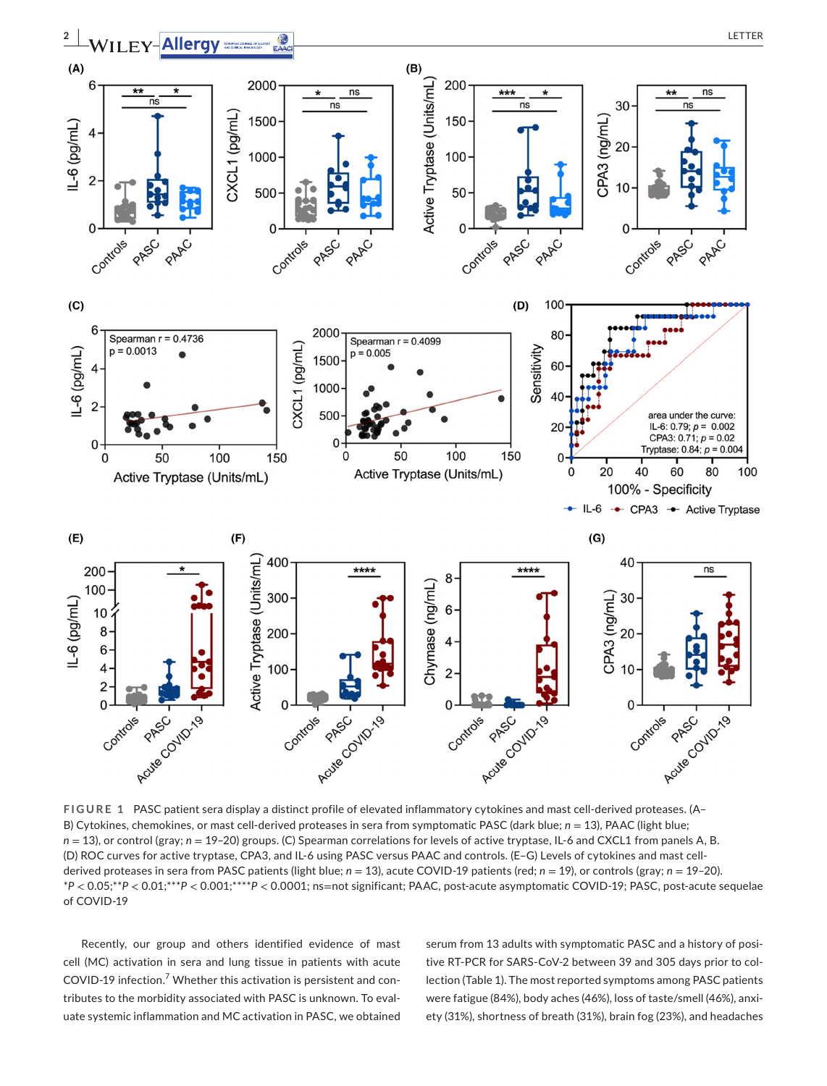

**FIGURE 1** PASC patient sera display a distinct profile of elevated inflammatory cytokines and mast cell-derived proteases. (A– B) Cytokines, chemokines, or mast cell-derived proteases in sera from symptomatic PASC (dark blue; *n* = 13), PAAC (light blue; *n* = 13), or control (gray; *n* = 19-20) groups. (C) Spearman correlations for levels of active tryptase, IL-6 and CXCL1 from panels A, B. (D) ROC curves for active tryptase, CPA3, and IL-6 using PASC versus PAAC and controls. (E–G) Levels of cytokines and mast cellderived proteases in sera from PASC patients (light blue; *n* = 13), acute COVID-19 patients (red; *n* = 19), or controls (gray; *n* = 19–20). \**P* < 0.05;\*\**P* < 0.01;\*\*\**P* < 0.001;\*\*\*\**P* < 0.0001; ns=not significant; PAAC, post-acute asymptomatic COVID-19; PASC, post-acute sequelae of COVID-19

Recently, our group and others identified evidence of mast cell (MC) activation in sera and lung tissue in patients with acute COVID-19 infection.<sup>7</sup> Whether this activation is persistent and contributes to the morbidity associated with PASC is unknown. To evaluate systemic inflammation and MC activation in PASC, we obtained

serum from 13 adults with symptomatic PASC and a history of positive RT-PCR for SARS-CoV-2 between 39 and 305 days prior to collection (Table 1). The most reported symptoms among PASC patients were fatigue (84%), body aches (46%), loss of taste/smell (46%), anxiety (31%), shortness of breath (31%), brain fog (23%), and headaches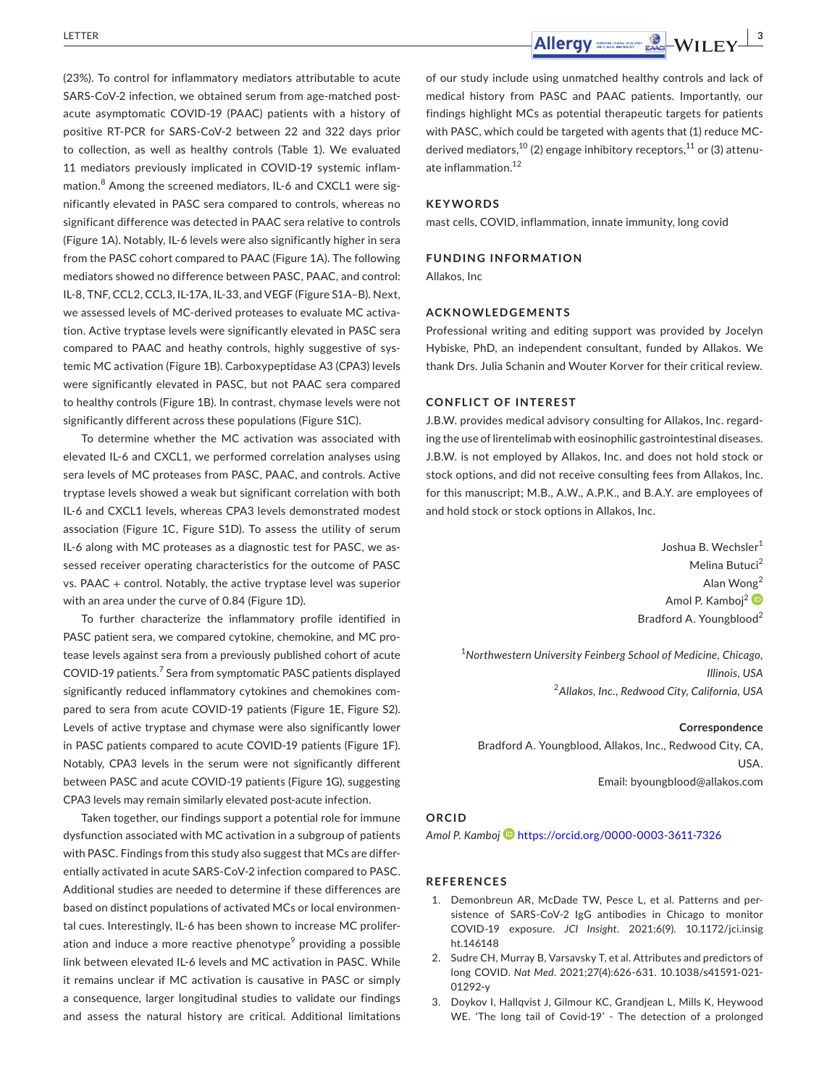(23%). To control for inflammatory mediators attributable to acute SARS-CoV-2 infection, we obtained serum from age-matched postacute asymptomatic COVID-19 (PAAC) patients with a history of positive RT-PCR for SARS-CoV-2 between 22 and 322 days prior to collection, as well as healthy controls (Table 1). We evaluated 11 mediators previously implicated in COVID-19 systemic inflammation.<sup>8</sup> Among the screened mediators, IL-6 and CXCL1 were significantly elevated in PASC sera compared to controls, whereas no significant difference was detected in PAAC sera relative to controls (Figure 1A). Notably, IL-6 levels were also significantly higher in sera from the PASC cohort compared to PAAC (Figure 1A). The following mediators showed no difference between PASC, PAAC, and control: IL-8, TNF, CCL2, CCL3, IL-17A, IL-33, and VEGF (Figure S1A–B). Next, we assessed levels of MC-derived proteases to evaluate MC activation. Active tryptase levels were significantly elevated in PASC sera compared to PAAC and heathy controls, highly suggestive of systemic MC activation (Figure 1B). Carboxypeptidase A3 (CPA3) levels were significantly elevated in PASC, but not PAAC sera compared to healthy controls (Figure 1B). In contrast, chymase levels were not significantly different across these populations (Figure S1C).

To determine whether the MC activation was associated with elevated IL-6 and CXCL1, we performed correlation analyses using sera levels of MC proteases from PASC, PAAC, and controls. Active tryptase levels showed a weak but significant correlation with both IL-6 and CXCL1 levels, whereas CPA3 levels demonstrated modest association (Figure 1C, Figure S1D). To assess the utility of serum IL-6 along with MC proteases as a diagnostic test for PASC, we assessed receiver operating characteristics for the outcome of PASC vs. PAAC + control. Notably, the active tryptase level was superior with an area under the curve of 0.84 (Figure 1D).

To further characterize the inflammatory profile identified in PASC patient sera, we compared cytokine, chemokine, and MC protease levels against sera from a previously published cohort of acute COVID-19 patients.<sup>7</sup> Sera from symptomatic PASC patients displayed significantly reduced inflammatory cytokines and chemokines compared to sera from acute COVID-19 patients (Figure 1E, Figure S2). Levels of active tryptase and chymase were also significantly lower in PASC patients compared to acute COVID-19 patients (Figure 1F). Notably, CPA3 levels in the serum were not significantly different between PASC and acute COVID-19 patients (Figure 1G), suggesting CPA3 levels may remain similarly elevated post-acute infection.

Taken together, our findings support a potential role for immune dysfunction associated with MC activation in a subgroup of patients with PASC. Findings from this study also suggest that MCs are differentially activated in acute SARS-CoV-2 infection compared to PASC. Additional studies are needed to determine if these differences are based on distinct populations of activated MCs or local environmental cues. Interestingly, IL-6 has been shown to increase MC proliferation and induce a more reactive phenotype $^{\circ}$  providing a possible link between elevated IL-6 levels and MC activation in PASC. While it remains unclear if MC activation is causative in PASC or simply a consequence, larger longitudinal studies to validate our findings and assess the natural history are critical. Additional limitations

of our study include using unmatched healthy controls and lack of medical history from PASC and PAAC patients. Importantly, our findings highlight MCs as potential therapeutic targets for patients with PASC, which could be targeted with agents that (1) reduce MCderived mediators,  $^{10}$  (2) engage inhibitory receptors,  $^{11}$  or (3) attenuate inflammation.12

### **KEYWORDS**

mast cells, COVID, inflammation, innate immunity, long covid

### **FUNDING INFORMATION**

Allakos, Inc

#### **ACKNOWLEDGEMENTS**

Professional writing and editing support was provided by Jocelyn Hybiske, PhD, an independent consultant, funded by Allakos. We thank Drs. Julia Schanin and Wouter Korver for their critical review.

#### **CONFLICT OF INTEREST**

J.B.W. provides medical advisory consulting for Allakos, Inc. regarding the use of lirentelimab with eosinophilic gastrointestinal diseases. J.B.W. is not employed by Allakos, Inc. and does not hold stock or stock options, and did not receive consulting fees from Allakos, Inc. for this manuscript; M.B., A.W., A.P.K., and B.A.Y. are employees of and hold stock or stock options in Allakos, Inc.

> Joshua B. Wechsler<sup>1</sup> Melina Butuci<sup>2</sup> Alan Wong<sup>2</sup> Amol P. Kamboi<sup>[2](https://orcid.org/0000-0003-3611-7326)</sup> Bradford A. Youngblood<sup>2</sup>

1 *Northwestern University Feinberg School of Medicine, Chicago, Illinois, USA* <sup>2</sup>*Allakos, Inc., Redwood City, California, USA*

#### **Correspondence**

Bradford A. Youngblood, Allakos, Inc., Redwood City, CA, USA. Email: [byoungblood@allakos.com](mailto:byoungblood@allakos.com)

#### **ORCID**

*Amol P. Kambo[j](https://orcid.org/0000-0003-3611-7326)* <https://orcid.org/0000-0003-3611-7326>

#### **REFERENCES**

- 1. Demonbreun AR, McDade TW, Pesce L, et al. Patterns and persistence of SARS-CoV-2 IgG antibodies in Chicago to monitor COVID-19 exposure. *JCI Insight*. 2021;6(9). [10.1172/jci.insig](https://doi.org/10.1172/jci.insight.146148) [ht.146148](https://doi.org/10.1172/jci.insight.146148)
- 2. Sudre CH, Murray B, Varsavsky T, et al. Attributes and predictors of long COVID. *Nat Med*. 2021;27(4):626-631. [10.1038/s41591-021-](https://doi.org/10.1038/s41591-021-01292-y) [01292-y](https://doi.org/10.1038/s41591-021-01292-y)
- 3. Doykov I, Hallqvist J, Gilmour KC, Grandjean L, Mills K, Heywood WE. 'The long tail of Covid-19' - The detection of a prolonged